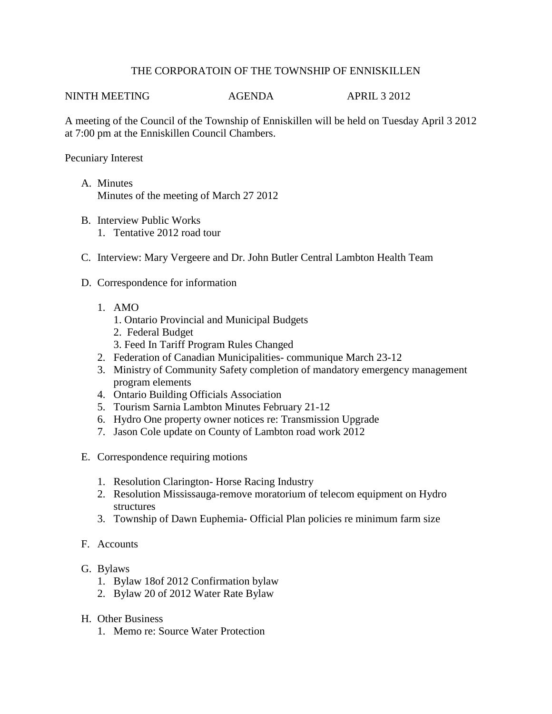## THE CORPORATOIN OF THE TOWNSHIP OF ENNISKILLEN

NINTH MEETING AGENDA APRIL 3 2012

A meeting of the Council of the Township of Enniskillen will be held on Tuesday April 3 2012 at 7:00 pm at the Enniskillen Council Chambers.

Pecuniary Interest

- A. Minutes Minutes of the meeting of March 27 2012
- B. Interview Public Works 1. Tentative 2012 road tour
- C. Interview: Mary Vergeere and Dr. John Butler Central Lambton Health Team
- D. Correspondence for information
	- 1. AMO
		- 1. Ontario Provincial and Municipal Budgets
		- 2. Federal Budget
		- 3. Feed In Tariff Program Rules Changed
	- 2. Federation of Canadian Municipalities- communique March 23-12
	- 3. Ministry of Community Safety completion of mandatory emergency management program elements
	- 4. Ontario Building Officials Association
	- 5. Tourism Sarnia Lambton Minutes February 21-12
	- 6. Hydro One property owner notices re: Transmission Upgrade
	- 7. Jason Cole update on County of Lambton road work 2012
- E. Correspondence requiring motions
	- 1. Resolution Clarington- Horse Racing Industry
	- 2. Resolution Mississauga-remove moratorium of telecom equipment on Hydro structures
	- 3. Township of Dawn Euphemia- Official Plan policies re minimum farm size
- F. Accounts
- G. Bylaws
	- 1. Bylaw 18of 2012 Confirmation bylaw
	- 2. Bylaw 20 of 2012 Water Rate Bylaw
- H. Other Business
	- 1. Memo re: Source Water Protection